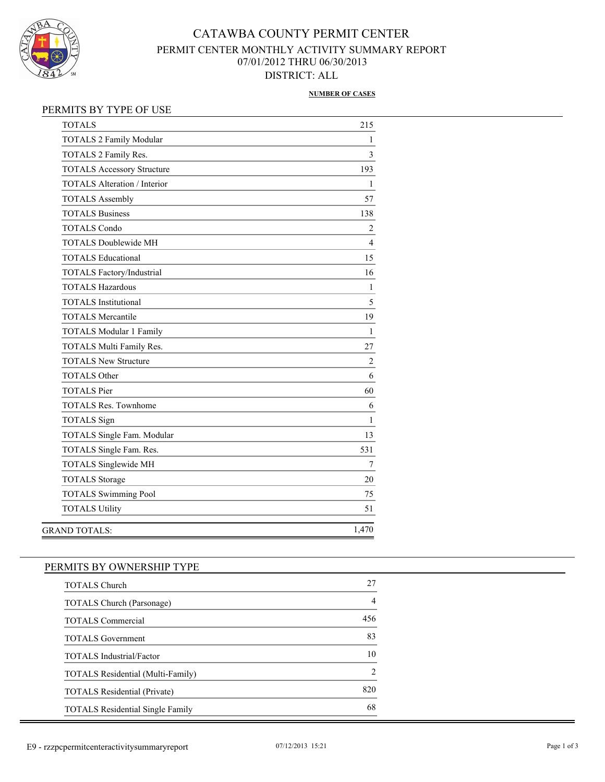

## CATAWBA COUNTY PERMIT CENTER PERMIT CENTER MONTHLY ACTIVITY SUMMARY REPORT 07/01/2012 THRU 06/30/2013 DISTRICT: ALL

#### **NUMBER OF CASES**

| <b>TOTALS 2 Family Modular</b><br>TOTALS 2 Family Res.<br><b>TOTALS Accessory Structure</b> | 1<br>$\overline{\mathbf{3}}$<br>193 |
|---------------------------------------------------------------------------------------------|-------------------------------------|
|                                                                                             |                                     |
|                                                                                             |                                     |
|                                                                                             |                                     |
| <b>TOTALS Alteration / Interior</b>                                                         | 1                                   |
| <b>TOTALS Assembly</b>                                                                      | 57                                  |
| <b>TOTALS Business</b>                                                                      | 138                                 |
| <b>TOTALS Condo</b>                                                                         | $\overline{2}$                      |
| <b>TOTALS Doublewide MH</b>                                                                 | $\overline{4}$                      |
| <b>TOTALS Educational</b>                                                                   | 15                                  |
| TOTALS Factory/Industrial                                                                   | 16                                  |
| <b>TOTALS Hazardous</b>                                                                     | $\mathbf{1}$                        |
| <b>TOTALS</b> Institutional                                                                 | 5                                   |
| <b>TOTALS Mercantile</b>                                                                    | 19                                  |
| <b>TOTALS Modular 1 Family</b>                                                              | $\mathbf{1}$                        |
| TOTALS Multi Family Res.                                                                    | 27                                  |
| <b>TOTALS New Structure</b>                                                                 | $\overline{2}$                      |
| <b>TOTALS Other</b>                                                                         | 6                                   |
| <b>TOTALS</b> Pier                                                                          | 60                                  |
| <b>TOTALS Res. Townhome</b>                                                                 | 6                                   |
| <b>TOTALS</b> Sign                                                                          | $\mathbf{1}$                        |
| TOTALS Single Fam. Modular                                                                  | 13                                  |
| TOTALS Single Fam. Res.                                                                     | 531                                 |
| <b>TOTALS Singlewide MH</b>                                                                 | 7                                   |
| <b>TOTALS Storage</b>                                                                       | 20                                  |
| <b>TOTALS Swimming Pool</b>                                                                 | 75                                  |
| <b>TOTALS Utility</b>                                                                       | 51                                  |
| <b>GRAND TOTALS:</b>                                                                        | 1,470                               |

# PERMITS BY OWNERSHIP TYPE TOTALS Church 27 TOTALS Church (Parsonage) 4 TOTALS Commercial 456 TOTALS Government 83 TOTALS Industrial/Factor 10 TOTALS Residential (Multi-Family) 2 TOTALS Residential (Private) 820 TOTALS Residential Single Family 68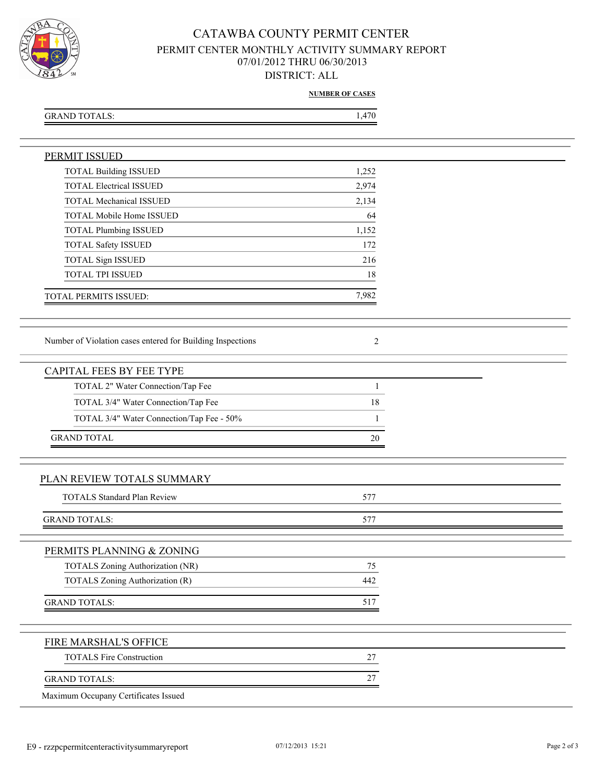

### CATAWBA COUNTY PERMIT CENTER PERMIT CENTER MONTHLY ACTIVITY SUMMARY REPORT 07/01/2012 THRU 06/30/2013 DISTRICT: ALL

**NUMBER OF CASES**

| GRAND TOTALS: | 1.470 |
|---------------|-------|
|               |       |

| <b>PERMIT ISSUED</b>                                       |                |  |
|------------------------------------------------------------|----------------|--|
| <b>TOTAL Building ISSUED</b>                               | 1,252          |  |
| <b>TOTAL Electrical ISSUED</b>                             | 2,974          |  |
| <b>TOTAL Mechanical ISSUED</b>                             | 2,134          |  |
| TOTAL Mobile Home ISSUED                                   | 64             |  |
| <b>TOTAL Plumbing ISSUED</b>                               | 1,152          |  |
| TOTAL Safety ISSUED                                        | 172            |  |
| TOTAL Sign ISSUED                                          | 216            |  |
| TOTAL TPI ISSUED                                           | 18             |  |
| TOTAL PERMITS ISSUED:                                      | 7,982          |  |
|                                                            |                |  |
| Number of Violation cases entered for Building Inspections | $\overline{2}$ |  |
| <b>CAPITAL FEES BY FEE TYPE</b>                            |                |  |
| TOTAL 2" Water Connection/Tap Fee                          | $\mathbf{1}$   |  |
| TOTAL 3/4" Water Connection/Tap Fee                        | 18             |  |
| TOTAL 3/4" Water Connection/Tap Fee - 50%                  | 1              |  |
| <b>GRAND TOTAL</b>                                         | 20             |  |
|                                                            |                |  |
| PLAN REVIEW TOTALS SUMMARY                                 |                |  |
| <b>TOTALS Standard Plan Review</b>                         | 577            |  |
| <b>GRAND TOTALS:</b>                                       | 577            |  |
| PERMITS PLANNING & ZONING                                  |                |  |
| TOTALS Zoning Authorization (NR)                           | 75             |  |
| <b>TOTALS Zoning Authorization (R)</b>                     | 442            |  |
|                                                            |                |  |
| <b>GRAND TOTALS:</b>                                       | 517            |  |
| FIRE MARSHAL'S OFFICE                                      |                |  |
| <b>TOTALS Fire Construction</b>                            | 27             |  |
| <b>GRAND TOTALS:</b>                                       | 27             |  |
| Maximum Occupany Certificates Issued                       |                |  |
|                                                            |                |  |